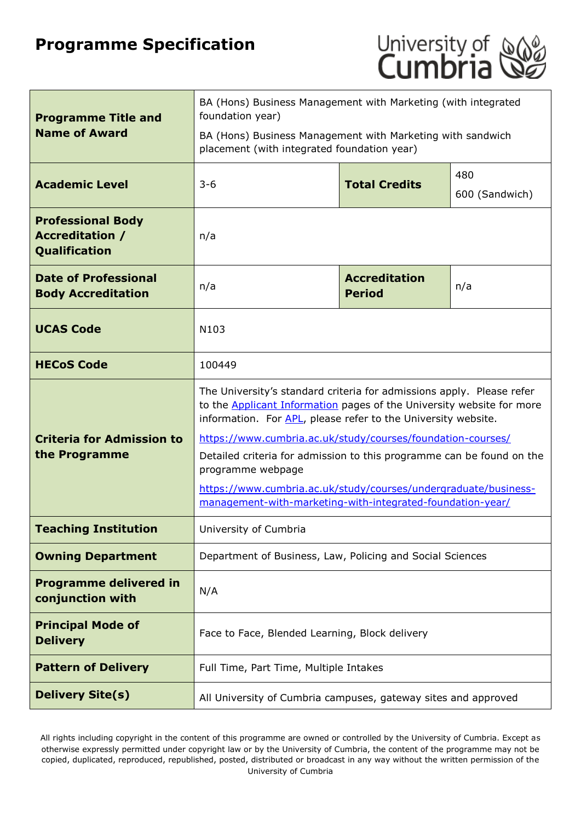# **Programme Specification**



| <b>Programme Title and</b>                                          | BA (Hons) Business Management with Marketing (with integrated<br>foundation year)                                                                                                                                      |  |  |  |
|---------------------------------------------------------------------|------------------------------------------------------------------------------------------------------------------------------------------------------------------------------------------------------------------------|--|--|--|
| <b>Name of Award</b>                                                | BA (Hons) Business Management with Marketing with sandwich<br>placement (with integrated foundation year)                                                                                                              |  |  |  |
| <b>Academic Level</b>                                               | 480<br><b>Total Credits</b><br>$3 - 6$<br>600 (Sandwich)                                                                                                                                                               |  |  |  |
| <b>Professional Body</b><br><b>Accreditation /</b><br>Qualification | n/a                                                                                                                                                                                                                    |  |  |  |
| <b>Date of Professional</b><br><b>Body Accreditation</b>            | <b>Accreditation</b><br>n/a<br>n/a<br><b>Period</b>                                                                                                                                                                    |  |  |  |
| <b>UCAS Code</b>                                                    | N103                                                                                                                                                                                                                   |  |  |  |
| <b>HECoS Code</b>                                                   | 100449                                                                                                                                                                                                                 |  |  |  |
|                                                                     | The University's standard criteria for admissions apply. Please refer<br>to the <b>Applicant Information</b> pages of the University website for more<br>information. For APL, please refer to the University website. |  |  |  |
| <b>Criteria for Admission to</b>                                    | https://www.cumbria.ac.uk/study/courses/foundation-courses/                                                                                                                                                            |  |  |  |
| the Programme                                                       | Detailed criteria for admission to this programme can be found on the<br>programme webpage                                                                                                                             |  |  |  |
|                                                                     | https://www.cumbria.ac.uk/study/courses/undergraduate/business-<br>management-with-marketing-with-integrated-foundation-year/                                                                                          |  |  |  |
| <b>Teaching Institution</b>                                         | University of Cumbria                                                                                                                                                                                                  |  |  |  |
| <b>Owning Department</b>                                            | Department of Business, Law, Policing and Social Sciences                                                                                                                                                              |  |  |  |
| <b>Programme delivered in</b><br>conjunction with                   | N/A                                                                                                                                                                                                                    |  |  |  |
| <b>Principal Mode of</b><br><b>Delivery</b>                         | Face to Face, Blended Learning, Block delivery                                                                                                                                                                         |  |  |  |
| <b>Pattern of Delivery</b>                                          | Full Time, Part Time, Multiple Intakes                                                                                                                                                                                 |  |  |  |
| <b>Delivery Site(s)</b>                                             | All University of Cumbria campuses, gateway sites and approved                                                                                                                                                         |  |  |  |

All rights including copyright in the content of this programme are owned or controlled by the University of Cumbria. Except as otherwise expressly permitted under copyright law or by the University of Cumbria, the content of the programme may not be copied, duplicated, reproduced, republished, posted, distributed or broadcast in any way without the written permission of the University of Cumbria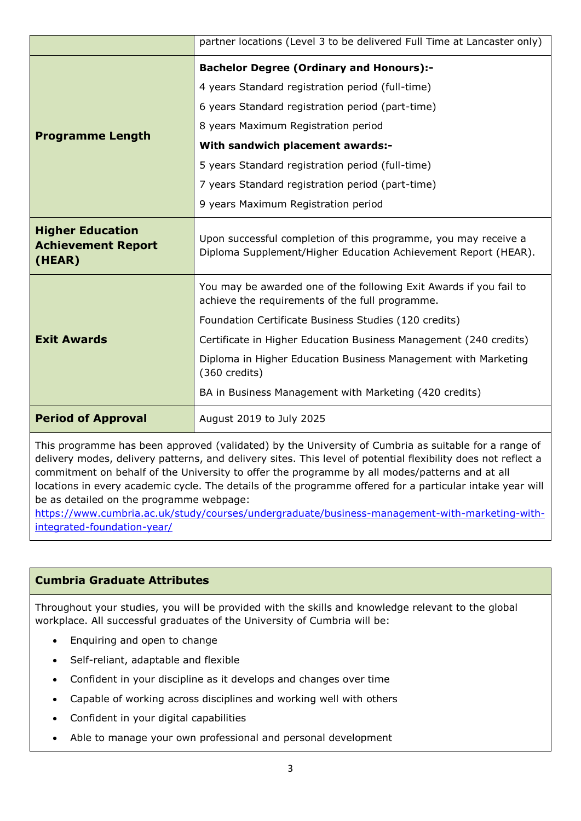|                                                                | partner locations (Level 3 to be delivered Full Time at Lancaster only)                                                           |  |
|----------------------------------------------------------------|-----------------------------------------------------------------------------------------------------------------------------------|--|
|                                                                | <b>Bachelor Degree (Ordinary and Honours):-</b>                                                                                   |  |
|                                                                | 4 years Standard registration period (full-time)                                                                                  |  |
|                                                                | 6 years Standard registration period (part-time)                                                                                  |  |
| <b>Programme Length</b>                                        | 8 years Maximum Registration period                                                                                               |  |
|                                                                | With sandwich placement awards:-                                                                                                  |  |
|                                                                | 5 years Standard registration period (full-time)                                                                                  |  |
|                                                                | 7 years Standard registration period (part-time)                                                                                  |  |
|                                                                | 9 years Maximum Registration period                                                                                               |  |
| <b>Higher Education</b><br><b>Achievement Report</b><br>(HEAR) | Upon successful completion of this programme, you may receive a<br>Diploma Supplement/Higher Education Achievement Report (HEAR). |  |
|                                                                | You may be awarded one of the following Exit Awards if you fail to<br>achieve the requirements of the full programme.             |  |
|                                                                | Foundation Certificate Business Studies (120 credits)                                                                             |  |
| <b>Exit Awards</b>                                             | Certificate in Higher Education Business Management (240 credits)                                                                 |  |
|                                                                | Diploma in Higher Education Business Management with Marketing<br>(360 credits)                                                   |  |
|                                                                | BA in Business Management with Marketing (420 credits)                                                                            |  |
| <b>Period of Approval</b>                                      | August 2019 to July 2025                                                                                                          |  |

This programme has been approved (validated) by the University of Cumbria as suitable for a range of delivery modes, delivery patterns, and delivery sites. This level of potential flexibility does not reflect a commitment on behalf of the University to offer the programme by all modes/patterns and at all locations in every academic cycle. The details of the programme offered for a particular intake year will be as detailed on the programme webpage:

[https://www.cumbria.ac.uk/study/courses/undergraduate/business-management-with-marketing-with](https://www.cumbria.ac.uk/study/courses/undergraduate/business-management-with-marketing-with-integrated-foundation-year/)[integrated-foundation-year/](https://www.cumbria.ac.uk/study/courses/undergraduate/business-management-with-marketing-with-integrated-foundation-year/)

### **Cumbria Graduate Attributes**

Throughout your studies, you will be provided with the skills and knowledge relevant to the global workplace. All successful graduates of the University of Cumbria will be:

- Enquiring and open to change
- Self-reliant, adaptable and flexible
- Confident in your discipline as it develops and changes over time
- Capable of working across disciplines and working well with others
- Confident in your digital capabilities
- Able to manage your own professional and personal development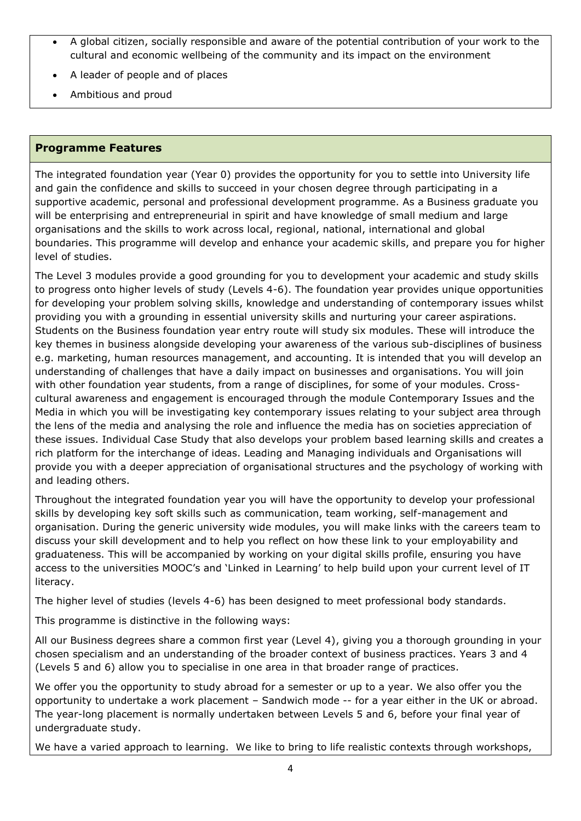- A global citizen, socially responsible and aware of the potential contribution of your work to the cultural and economic wellbeing of the community and its impact on the environment
- A leader of people and of places
- Ambitious and proud

### **Programme Features**

The integrated foundation year (Year 0) provides the opportunity for you to settle into University life and gain the confidence and skills to succeed in your chosen degree through participating in a supportive academic, personal and professional development programme. As a Business graduate you will be enterprising and entrepreneurial in spirit and have knowledge of small medium and large organisations and the skills to work across local, regional, national, international and global boundaries. This programme will develop and enhance your academic skills, and prepare you for higher level of studies.

The Level 3 modules provide a good grounding for you to development your academic and study skills to progress onto higher levels of study (Levels 4-6). The foundation year provides unique opportunities for developing your problem solving skills, knowledge and understanding of contemporary issues whilst providing you with a grounding in essential university skills and nurturing your career aspirations. Students on the Business foundation year entry route will study six modules. These will introduce the key themes in business alongside developing your awareness of the various sub-disciplines of business e.g. marketing, human resources management, and accounting. It is intended that you will develop an understanding of challenges that have a daily impact on businesses and organisations. You will join with other foundation year students, from a range of disciplines, for some of your modules. Crosscultural awareness and engagement is encouraged through the module Contemporary Issues and the Media in which you will be investigating key contemporary issues relating to your subject area through the lens of the media and analysing the role and influence the media has on societies appreciation of these issues. Individual Case Study that also develops your problem based learning skills and creates a rich platform for the interchange of ideas. Leading and Managing individuals and Organisations will provide you with a deeper appreciation of organisational structures and the psychology of working with and leading others.

Throughout the integrated foundation year you will have the opportunity to develop your professional skills by developing key soft skills such as communication, team working, self-management and organisation. During the generic university wide modules, you will make links with the careers team to discuss your skill development and to help you reflect on how these link to your employability and graduateness. This will be accompanied by working on your digital skills profile, ensuring you have access to the universities MOOC's and 'Linked in Learning' to help build upon your current level of IT literacy.

The higher level of studies (levels 4-6) has been designed to meet professional body standards.

This programme is distinctive in the following ways:

All our Business degrees share a common first year (Level 4), giving you a thorough grounding in your chosen specialism and an understanding of the broader context of business practices. Years 3 and 4 (Levels 5 and 6) allow you to specialise in one area in that broader range of practices.

We offer you the opportunity to study abroad for a semester or up to a year. We also offer you the opportunity to undertake a work placement – Sandwich mode -- for a year either in the UK or abroad. The year-long placement is normally undertaken between Levels 5 and 6, before your final year of undergraduate study.

We have a varied approach to learning. We like to bring to life realistic contexts through workshops,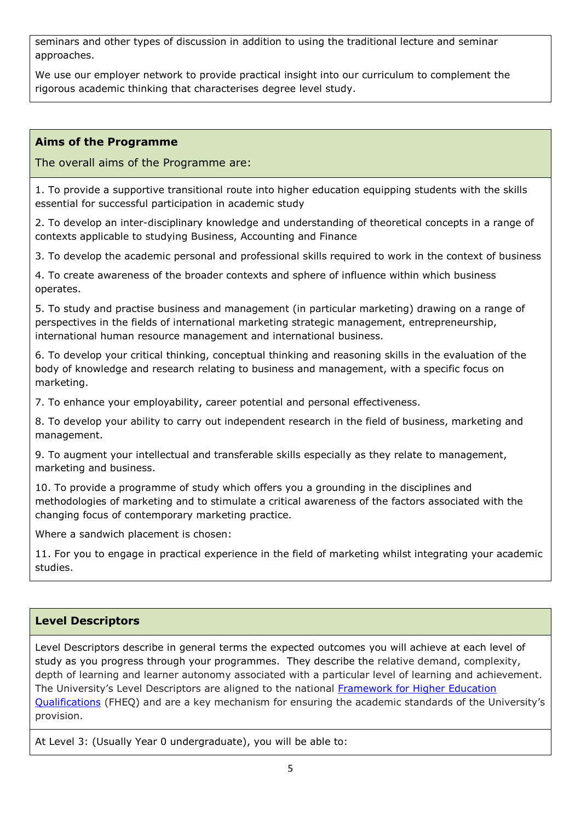seminars and other types of discussion in addition to using the traditional lecture and seminar approaches.

We use our employer network to provide practical insight into our curriculum to complement the rigorous academic thinking that characterises degree level study.

### **Aims of the Programme**

The overall aims of the Programme are:

1. To provide a supportive transitional route into higher education equipping students with the skills essential for successful participation in academic study

2. To develop an inter-disciplinary knowledge and understanding of theoretical concepts in a range of contexts applicable to studying Business, Accounting and Finance

3. To develop the academic personal and professional skills required to work in the context of business

4. To create awareness of the broader contexts and sphere of influence within which business operates.

5. To study and practise business and management (in particular marketing) drawing on a range of perspectives in the fields of international marketing strategic management, entrepreneurship, international human resource management and international business.

6. To develop your critical thinking, conceptual thinking and reasoning skills in the evaluation of the body of knowledge and research relating to business and management, with a specific focus on marketing.

7. To enhance your employability, career potential and personal effectiveness.

8. To develop your ability to carry out independent research in the field of business, marketing and management.

9. To augment your intellectual and transferable skills especially as they relate to management, marketing and business.

10. To provide a programme of study which offers you a grounding in the disciplines and methodologies of marketing and to stimulate a critical awareness of the factors associated with the changing focus of contemporary marketing practice.

Where a sandwich placement is chosen:

11. For you to engage in practical experience in the field of marketing whilst integrating your academic studies.

### **Level Descriptors**

Level Descriptors describe in general terms the expected outcomes you will achieve at each level of study as you progress through your programmes. They describe the relative demand, complexity, depth of learning and learner autonomy associated with a particular level of learning and achievement. The University's Level Descriptors are aligned to the national [Framework for Higher Education](http://www.qaa.ac.uk/en/Publications/Documents/qualifications-frameworks.pdf)  [Qualifications](http://www.qaa.ac.uk/en/Publications/Documents/qualifications-frameworks.pdf) (FHEQ) and are a key mechanism for ensuring the academic standards of the University's provision.

At Level 3: (Usually Year 0 undergraduate), you will be able to: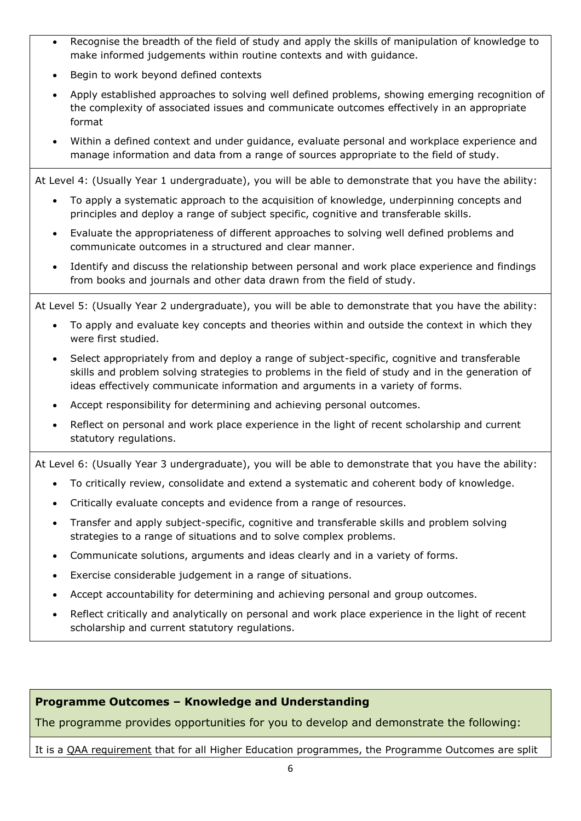- Recognise the breadth of the field of study and apply the skills of manipulation of knowledge to make informed judgements within routine contexts and with guidance.
- Begin to work beyond defined contexts
- Apply established approaches to solving well defined problems, showing emerging recognition of the complexity of associated issues and communicate outcomes effectively in an appropriate format
- Within a defined context and under guidance, evaluate personal and workplace experience and manage information and data from a range of sources appropriate to the field of study.

At Level 4: (Usually Year 1 undergraduate), you will be able to demonstrate that you have the ability:

- To apply a systematic approach to the acquisition of knowledge, underpinning concepts and principles and deploy a range of subject specific, cognitive and transferable skills.
- Evaluate the appropriateness of different approaches to solving well defined problems and communicate outcomes in a structured and clear manner.
- Identify and discuss the relationship between personal and work place experience and findings from books and journals and other data drawn from the field of study.

At Level 5: (Usually Year 2 undergraduate), you will be able to demonstrate that you have the ability:

- To apply and evaluate key concepts and theories within and outside the context in which they were first studied.
- Select appropriately from and deploy a range of subject-specific, cognitive and transferable skills and problem solving strategies to problems in the field of study and in the generation of ideas effectively communicate information and arguments in a variety of forms.
- Accept responsibility for determining and achieving personal outcomes.
- Reflect on personal and work place experience in the light of recent scholarship and current statutory regulations.

At Level 6: (Usually Year 3 undergraduate), you will be able to demonstrate that you have the ability:

- To critically review, consolidate and extend a systematic and coherent body of knowledge.
- Critically evaluate concepts and evidence from a range of resources.
- Transfer and apply subject-specific, cognitive and transferable skills and problem solving strategies to a range of situations and to solve complex problems.
- Communicate solutions, arguments and ideas clearly and in a variety of forms.
- Exercise considerable judgement in a range of situations.
- Accept accountability for determining and achieving personal and group outcomes.
- Reflect critically and analytically on personal and work place experience in the light of recent scholarship and current statutory regulations.

### **Programme Outcomes – Knowledge and Understanding**

The programme provides opportunities for you to develop and demonstrate the following:

It is a QAA requirement that for all Higher Education programmes, the Programme Outcomes are split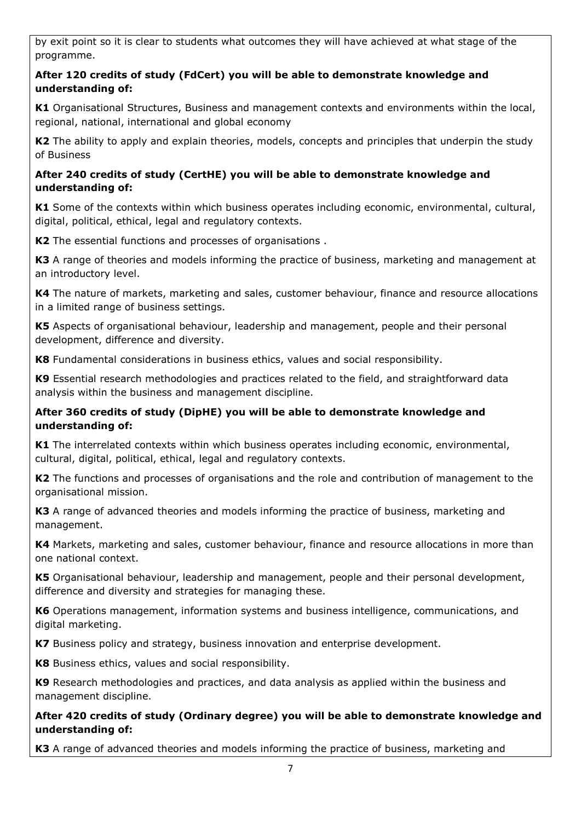by exit point so it is clear to students what outcomes they will have achieved at what stage of the programme.

### **After 120 credits of study (FdCert) you will be able to demonstrate knowledge and understanding of:**

**K1** Organisational Structures, Business and management contexts and environments within the local, regional, national, international and global economy

**K2** The ability to apply and explain theories, models, concepts and principles that underpin the study of Business

### **After 240 credits of study (CertHE) you will be able to demonstrate knowledge and understanding of:**

**K1** Some of the contexts within which business operates including economic, environmental, cultural, digital, political, ethical, legal and regulatory contexts.

**K2** The essential functions and processes of organisations .

**K3** A range of theories and models informing the practice of business, marketing and management at an introductory level.

**K4** The nature of markets, marketing and sales, customer behaviour, finance and resource allocations in a limited range of business settings.

**K5** Aspects of organisational behaviour, leadership and management, people and their personal development, difference and diversity.

**K8** Fundamental considerations in business ethics, values and social responsibility.

**K9** Essential research methodologies and practices related to the field, and straightforward data analysis within the business and management discipline.

### **After 360 credits of study (DipHE) you will be able to demonstrate knowledge and understanding of:**

**K1** The interrelated contexts within which business operates including economic, environmental, cultural, digital, political, ethical, legal and regulatory contexts.

**K2** The functions and processes of organisations and the role and contribution of management to the organisational mission.

**K3** A range of advanced theories and models informing the practice of business, marketing and management.

**K4** Markets, marketing and sales, customer behaviour, finance and resource allocations in more than one national context.

**K5** Organisational behaviour, leadership and management, people and their personal development, difference and diversity and strategies for managing these.

**K6** Operations management, information systems and business intelligence, communications, and digital marketing.

**K7** Business policy and strategy, business innovation and enterprise development.

**K8** Business ethics, values and social responsibility.

**K9** Research methodologies and practices, and data analysis as applied within the business and management discipline.

### **After 420 credits of study (Ordinary degree) you will be able to demonstrate knowledge and understanding of:**

**K3** A range of advanced theories and models informing the practice of business, marketing and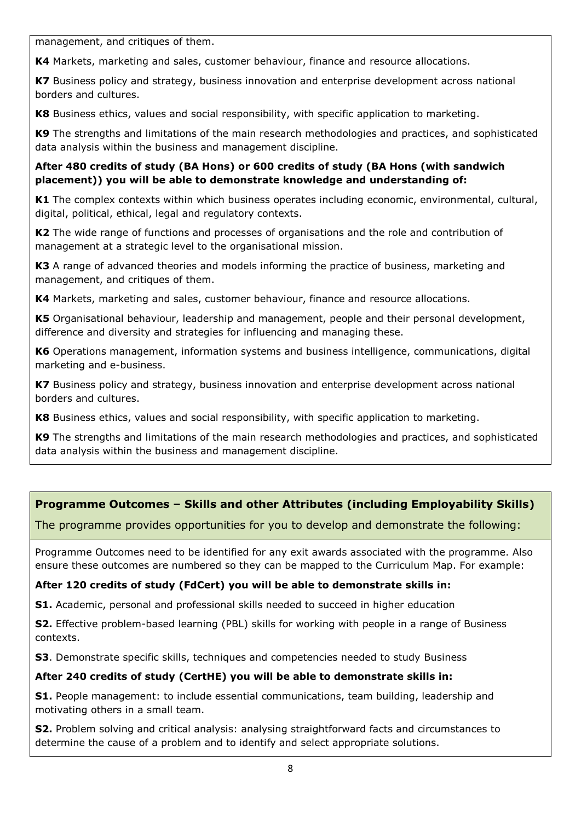management, and critiques of them.

**K4** Markets, marketing and sales, customer behaviour, finance and resource allocations.

**K7** Business policy and strategy, business innovation and enterprise development across national borders and cultures.

**K8** Business ethics, values and social responsibility, with specific application to marketing.

**K9** The strengths and limitations of the main research methodologies and practices, and sophisticated data analysis within the business and management discipline.

### **After 480 credits of study (BA Hons) or 600 credits of study (BA Hons (with sandwich placement)) you will be able to demonstrate knowledge and understanding of:**

**K1** The complex contexts within which business operates including economic, environmental, cultural, digital, political, ethical, legal and regulatory contexts.

**K2** The wide range of functions and processes of organisations and the role and contribution of management at a strategic level to the organisational mission.

**K3** A range of advanced theories and models informing the practice of business, marketing and management, and critiques of them.

**K4** Markets, marketing and sales, customer behaviour, finance and resource allocations.

**K5** Organisational behaviour, leadership and management, people and their personal development, difference and diversity and strategies for influencing and managing these.

**K6** Operations management, information systems and business intelligence, communications, digital marketing and e-business.

**K7** Business policy and strategy, business innovation and enterprise development across national borders and cultures.

**K8** Business ethics, values and social responsibility, with specific application to marketing.

**K9** The strengths and limitations of the main research methodologies and practices, and sophisticated data analysis within the business and management discipline.

# **Programme Outcomes – Skills and other Attributes (including Employability Skills)**

The programme provides opportunities for you to develop and demonstrate the following:

Programme Outcomes need to be identified for any exit awards associated with the programme. Also ensure these outcomes are numbered so they can be mapped to the Curriculum Map. For example:

### **After 120 credits of study (FdCert) you will be able to demonstrate skills in:**

**S1.** Academic, personal and professional skills needed to succeed in higher education

**S2.** Effective problem-based learning (PBL) skills for working with people in a range of Business contexts.

**S3**. Demonstrate specific skills, techniques and competencies needed to study Business

### **After 240 credits of study (CertHE) you will be able to demonstrate skills in:**

**S1.** People management: to include essential communications, team building, leadership and motivating others in a small team.

**S2.** Problem solving and critical analysis: analysing straightforward facts and circumstances to determine the cause of a problem and to identify and select appropriate solutions.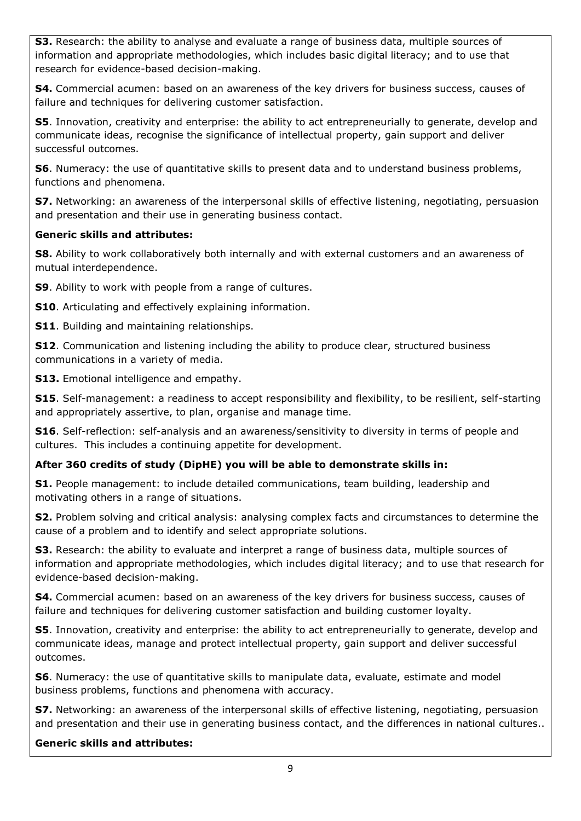**S3.** Research: the ability to analyse and evaluate a range of business data, multiple sources of information and appropriate methodologies, which includes basic digital literacy; and to use that research for evidence-based decision-making.

**S4.** Commercial acumen: based on an awareness of the key drivers for business success, causes of failure and techniques for delivering customer satisfaction.

**S5**. Innovation, creativity and enterprise: the ability to act entrepreneurially to generate, develop and communicate ideas, recognise the significance of intellectual property, gain support and deliver successful outcomes.

**S6.** Numeracy: the use of quantitative skills to present data and to understand business problems, functions and phenomena.

**S7.** Networking: an awareness of the interpersonal skills of effective listening, negotiating, persuasion and presentation and their use in generating business contact.

### **Generic skills and attributes:**

**S8.** Ability to work collaboratively both internally and with external customers and an awareness of mutual interdependence.

**S9**. Ability to work with people from a range of cultures.

**S10**. Articulating and effectively explaining information.

**S11**. Building and maintaining relationships.

**S12**. Communication and listening including the ability to produce clear, structured business communications in a variety of media.

**S13.** Emotional intelligence and empathy.

**S15**. Self-management: a readiness to accept responsibility and flexibility, to be resilient, self-starting and appropriately assertive, to plan, organise and manage time.

**S16**. Self-reflection: self-analysis and an awareness/sensitivity to diversity in terms of people and cultures. This includes a continuing appetite for development.

### **After 360 credits of study (DipHE) you will be able to demonstrate skills in:**

**S1.** People management: to include detailed communications, team building, leadership and motivating others in a range of situations.

**S2.** Problem solving and critical analysis: analysing complex facts and circumstances to determine the cause of a problem and to identify and select appropriate solutions.

**S3.** Research: the ability to evaluate and interpret a range of business data, multiple sources of information and appropriate methodologies, which includes digital literacy; and to use that research for evidence-based decision-making.

**S4.** Commercial acumen: based on an awareness of the key drivers for business success, causes of failure and techniques for delivering customer satisfaction and building customer loyalty.

**S5**. Innovation, creativity and enterprise: the ability to act entrepreneurially to generate, develop and communicate ideas, manage and protect intellectual property, gain support and deliver successful outcomes.

**S6**. Numeracy: the use of quantitative skills to manipulate data, evaluate, estimate and model business problems, functions and phenomena with accuracy.

**S7.** Networking: an awareness of the interpersonal skills of effective listening, negotiating, persuasion and presentation and their use in generating business contact, and the differences in national cultures..

### **Generic skills and attributes:**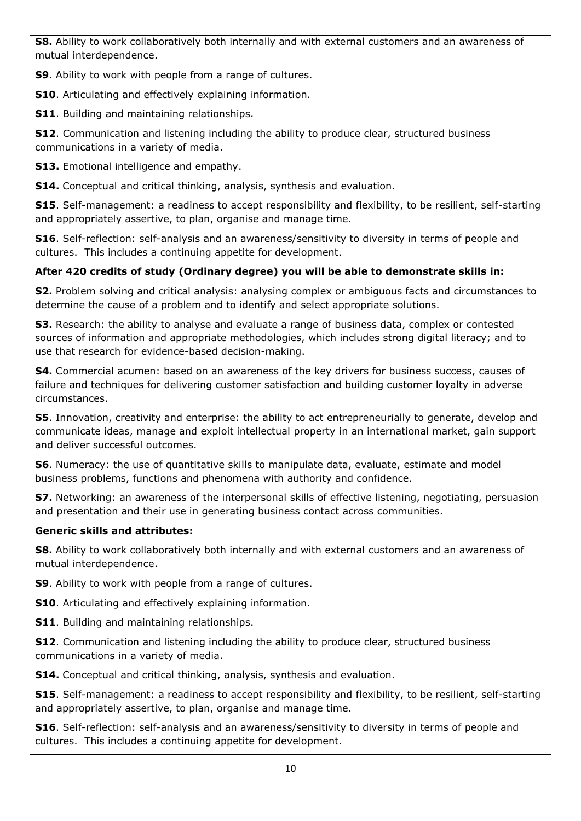**S8.** Ability to work collaboratively both internally and with external customers and an awareness of mutual interdependence.

**S9**. Ability to work with people from a range of cultures.

**S10**. Articulating and effectively explaining information.

**S11**. Building and maintaining relationships.

**S12**. Communication and listening including the ability to produce clear, structured business communications in a variety of media.

**S13.** Emotional intelligence and empathy.

**S14.** Conceptual and critical thinking, analysis, synthesis and evaluation.

**S15**. Self-management: a readiness to accept responsibility and flexibility, to be resilient, self-starting and appropriately assertive, to plan, organise and manage time.

**S16**. Self-reflection: self-analysis and an awareness/sensitivity to diversity in terms of people and cultures. This includes a continuing appetite for development.

### **After 420 credits of study (Ordinary degree) you will be able to demonstrate skills in:**

**S2.** Problem solving and critical analysis: analysing complex or ambiguous facts and circumstances to determine the cause of a problem and to identify and select appropriate solutions.

**S3.** Research: the ability to analyse and evaluate a range of business data, complex or contested sources of information and appropriate methodologies, which includes strong digital literacy; and to use that research for evidence-based decision-making.

**S4.** Commercial acumen: based on an awareness of the key drivers for business success, causes of failure and techniques for delivering customer satisfaction and building customer loyalty in adverse circumstances.

**S5**. Innovation, creativity and enterprise: the ability to act entrepreneurially to generate, develop and communicate ideas, manage and exploit intellectual property in an international market, gain support and deliver successful outcomes.

**S6.** Numeracy: the use of quantitative skills to manipulate data, evaluate, estimate and model business problems, functions and phenomena with authority and confidence.

**S7.** Networking: an awareness of the interpersonal skills of effective listening, negotiating, persuasion and presentation and their use in generating business contact across communities.

### **Generic skills and attributes:**

**S8.** Ability to work collaboratively both internally and with external customers and an awareness of mutual interdependence.

**S9**. Ability to work with people from a range of cultures.

**S10**. Articulating and effectively explaining information.

**S11**. Building and maintaining relationships.

**S12**. Communication and listening including the ability to produce clear, structured business communications in a variety of media.

**S14.** Conceptual and critical thinking, analysis, synthesis and evaluation.

**S15**. Self-management: a readiness to accept responsibility and flexibility, to be resilient, self-starting and appropriately assertive, to plan, organise and manage time.

**S16**. Self-reflection: self-analysis and an awareness/sensitivity to diversity in terms of people and cultures. This includes a continuing appetite for development.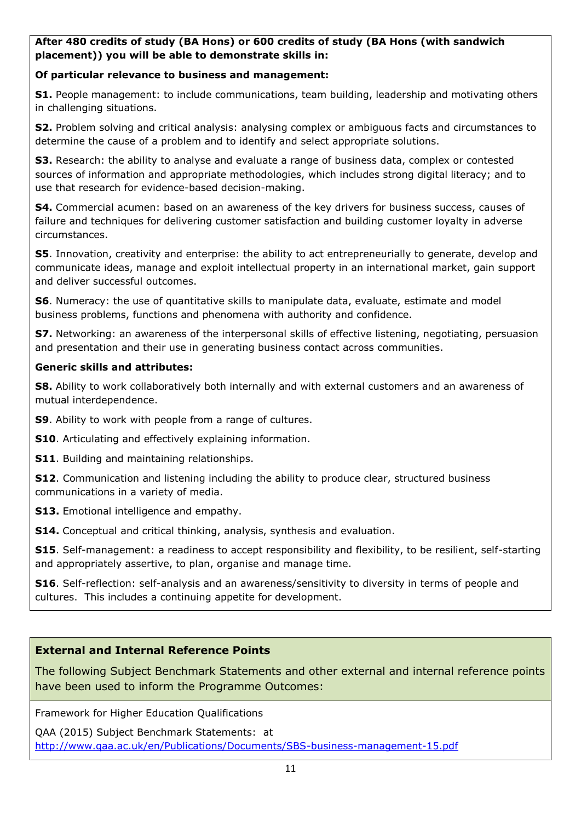### **After 480 credits of study (BA Hons) or 600 credits of study (BA Hons (with sandwich placement)) you will be able to demonstrate skills in:**

### **Of particular relevance to business and management:**

**S1.** People management: to include communications, team building, leadership and motivating others in challenging situations.

**S2.** Problem solving and critical analysis: analysing complex or ambiguous facts and circumstances to determine the cause of a problem and to identify and select appropriate solutions.

**S3.** Research: the ability to analyse and evaluate a range of business data, complex or contested sources of information and appropriate methodologies, which includes strong digital literacy; and to use that research for evidence-based decision-making.

**S4.** Commercial acumen: based on an awareness of the key drivers for business success, causes of failure and techniques for delivering customer satisfaction and building customer loyalty in adverse circumstances.

**S5.** Innovation, creativity and enterprise: the ability to act entrepreneurially to generate, develop and communicate ideas, manage and exploit intellectual property in an international market, gain support and deliver successful outcomes.

**S6**. Numeracy: the use of quantitative skills to manipulate data, evaluate, estimate and model business problems, functions and phenomena with authority and confidence.

**S7.** Networking: an awareness of the interpersonal skills of effective listening, negotiating, persuasion and presentation and their use in generating business contact across communities.

#### **Generic skills and attributes:**

**S8.** Ability to work collaboratively both internally and with external customers and an awareness of mutual interdependence.

**S9**. Ability to work with people from a range of cultures.

**S10**. Articulating and effectively explaining information.

**S11**. Building and maintaining relationships.

**S12.** Communication and listening including the ability to produce clear, structured business communications in a variety of media.

**S13.** Emotional intelligence and empathy.

**S14.** Conceptual and critical thinking, analysis, synthesis and evaluation.

**S15**. Self-management: a readiness to accept responsibility and flexibility, to be resilient, self-starting and appropriately assertive, to plan, organise and manage time.

**S16**. Self-reflection: self-analysis and an awareness/sensitivity to diversity in terms of people and cultures. This includes a continuing appetite for development.

### **External and Internal Reference Points**

The following Subject Benchmark Statements and other external and internal reference points have been used to inform the Programme Outcomes:

Framework for Higher Education Qualifications

QAA (2015) Subject Benchmark Statements: at <http://www.qaa.ac.uk/en/Publications/Documents/SBS-business-management-15.pdf>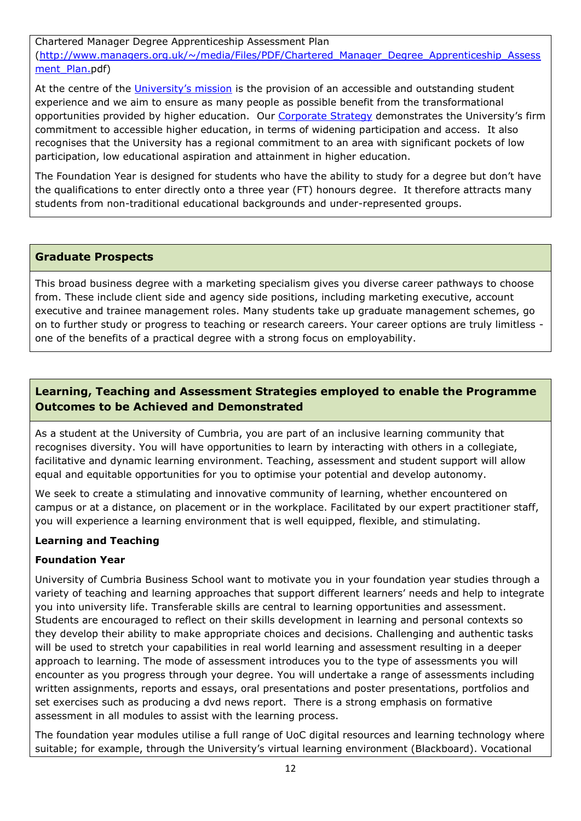Chartered Manager Degree Apprenticeship Assessment Plan [\(http://www.managers.org.uk/~/media/Files/PDF/Chartered\\_Manager\\_Degree\\_Apprenticeship\\_Assess](http://www.managers.org.uk/~/media/Files/PDF/Chartered_Manager_Degree_Apprenticeship_Assessment_Plan.pdf) [ment\\_Plan.p](http://www.managers.org.uk/~/media/Files/PDF/Chartered_Manager_Degree_Apprenticeship_Assessment_Plan.pdf)df)

At the centre of the Universit[y's mission](http://www.cumbria.ac.uk/AboutUs/Services/HR/Vacancies/MissionVisionAndValues.aspx) is the provision of an accessible and outstanding student experience and we aim to ensure as many people as possible benefit from the transformational opportunities provided by higher education. Our [Corporate Strategy](http://www.cumbria.ac.uk/Public/VCO/Documents/Communications/Publications/Corporate-Strategy-2012-17.pdf) demonstrates the University's firm commitment to accessible higher education, in terms of widening participation and access. It also recognises that the University has a regional commitment to an area with significant pockets of low participation, low educational aspiration and attainment in higher education.

The Foundation Year is designed for students who have the ability to study for a degree but don't have the qualifications to enter directly onto a three year (FT) honours degree. It therefore attracts many students from non-traditional educational backgrounds and under-represented groups.

#### **Graduate Prospects**

This broad business degree with a marketing specialism gives you diverse career pathways to choose from. These include client side and agency side positions, including marketing executive, account executive and trainee management roles. Many students take up graduate management schemes, go on to further study or progress to teaching or research careers. Your career options are truly limitless one of the benefits of a practical degree with a strong focus on employability.

### **Learning, Teaching and Assessment Strategies employed to enable the Programme Outcomes to be Achieved and Demonstrated**

As a student at the University of Cumbria, you are part of an inclusive learning community that recognises diversity. You will have opportunities to learn by interacting with others in a collegiate, facilitative and dynamic learning environment. Teaching, assessment and student support will allow equal and equitable opportunities for you to optimise your potential and develop autonomy.

We seek to create a stimulating and innovative community of learning, whether encountered on campus or at a distance, on placement or in the workplace. Facilitated by our expert practitioner staff, you will experience a learning environment that is well equipped, flexible, and stimulating.

### **Learning and Teaching**

#### **Foundation Year**

University of Cumbria Business School want to motivate you in your foundation year studies through a variety of teaching and learning approaches that support different learners' needs and help to integrate you into university life. Transferable skills are central to learning opportunities and assessment. Students are encouraged to reflect on their skills development in learning and personal contexts so they develop their ability to make appropriate choices and decisions. Challenging and authentic tasks will be used to stretch your capabilities in real world learning and assessment resulting in a deeper approach to learning. The mode of assessment introduces you to the type of assessments you will encounter as you progress through your degree. You will undertake a range of assessments including written assignments, reports and essays, oral presentations and poster presentations, portfolios and set exercises such as producing a dvd news report. There is a strong emphasis on formative assessment in all modules to assist with the learning process.

The foundation year modules utilise a full range of UoC digital resources and learning technology where suitable; for example, through the University's virtual learning environment (Blackboard). Vocational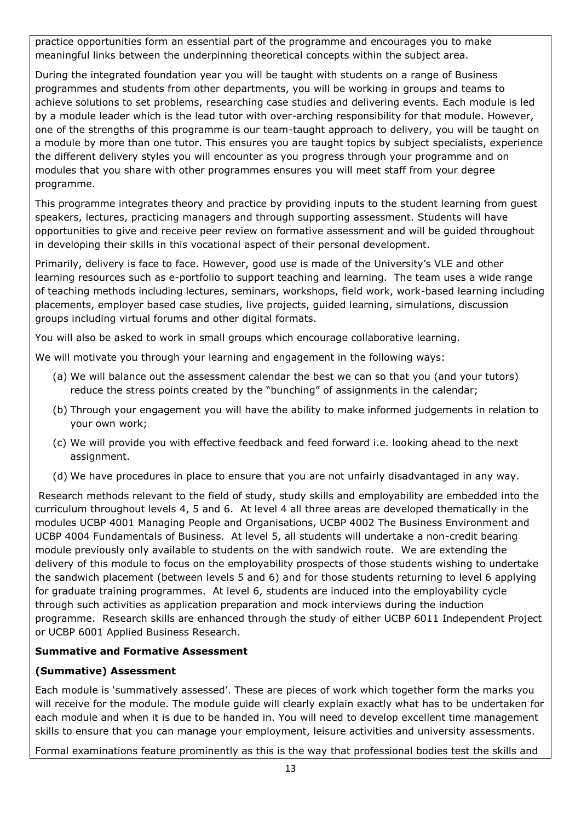practice opportunities form an essential part of the programme and encourages you to make meaningful links between the underpinning theoretical concepts within the subject area.

During the integrated foundation year you will be taught with students on a range of Business programmes and students from other departments, you will be working in groups and teams to achieve solutions to set problems, researching case studies and delivering events. Each module is led by a module leader which is the lead tutor with over-arching responsibility for that module. However, one of the strengths of this programme is our team-taught approach to delivery, you will be taught on a module by more than one tutor. This ensures you are taught topics by subject specialists, experience the different delivery styles you will encounter as you progress through your programme and on modules that you share with other programmes ensures you will meet staff from your degree programme.

This programme integrates theory and practice by providing inputs to the student learning from guest speakers, lectures, practicing managers and through supporting assessment. Students will have opportunities to give and receive peer review on formative assessment and will be guided throughout in developing their skills in this vocational aspect of their personal development.

Primarily, delivery is face to face. However, good use is made of the University's VLE and other learning resources such as e-portfolio to support teaching and learning. The team uses a wide range of teaching methods including lectures, seminars, workshops, field work, work-based learning including placements, employer based case studies, live projects, guided learning, simulations, discussion groups including virtual forums and other digital formats.

You will also be asked to work in small groups which encourage collaborative learning.

We will motivate you through your learning and engagement in the following ways:

- (a) We will balance out the assessment calendar the best we can so that you (and your tutors) reduce the stress points created by the "bunching" of assignments in the calendar;
- (b) Through your engagement you will have the ability to make informed judgements in relation to your own work;
- (c) We will provide you with effective feedback and feed forward i.e. looking ahead to the next assignment.
- (d) We have procedures in place to ensure that you are not unfairly disadvantaged in any way.

Research methods relevant to the field of study, study skills and employability are embedded into the curriculum throughout levels 4, 5 and 6. At level 4 all three areas are developed thematically in the modules UCBP 4001 Managing People and Organisations, UCBP 4002 The Business Environment and UCBP 4004 Fundamentals of Business. At level 5, all students will undertake a non-credit bearing module previously only available to students on the with sandwich route. We are extending the delivery of this module to focus on the employability prospects of those students wishing to undertake the sandwich placement (between levels 5 and 6) and for those students returning to level 6 applying for graduate training programmes. At level 6, students are induced into the employability cycle through such activities as application preparation and mock interviews during the induction programme. Research skills are enhanced through the study of either UCBP 6011 Independent Project or UCBP 6001 Applied Business Research.

### **Summative and Formative Assessment**

### **(Summative) Assessment**

Each module is 'summatively assessed'. These are pieces of work which together form the marks you will receive for the module. The module guide will clearly explain exactly what has to be undertaken for each module and when it is due to be handed in. You will need to develop excellent time management skills to ensure that you can manage your employment, leisure activities and university assessments.

Formal examinations feature prominently as this is the way that professional bodies test the skills and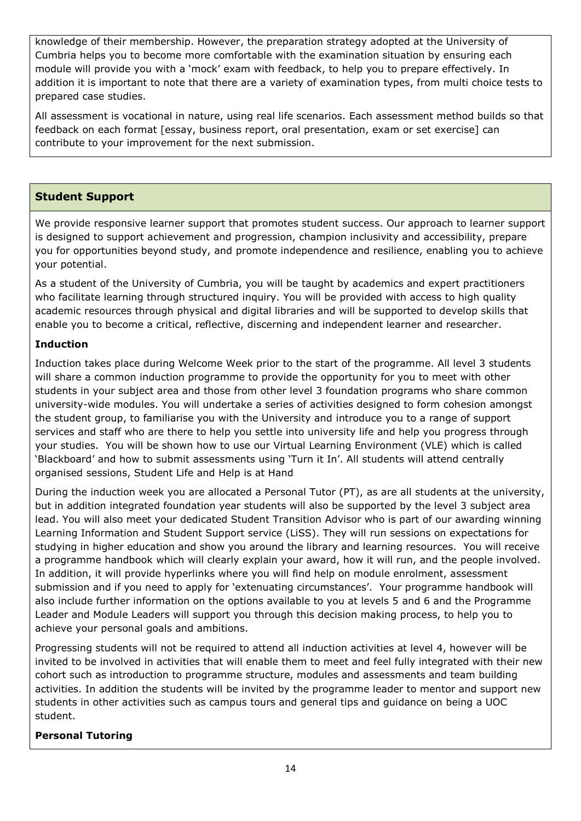knowledge of their membership. However, the preparation strategy adopted at the University of Cumbria helps you to become more comfortable with the examination situation by ensuring each module will provide you with a 'mock' exam with feedback, to help you to prepare effectively. In addition it is important to note that there are a variety of examination types, from multi choice tests to prepared case studies.

All assessment is vocational in nature, using real life scenarios. Each assessment method builds so that feedback on each format [essay, business report, oral presentation, exam or set exercise] can contribute to your improvement for the next submission.

### **Student Support**

We provide responsive learner support that promotes student success. Our approach to learner support is designed to support achievement and progression, champion inclusivity and accessibility, prepare you for opportunities beyond study, and promote independence and resilience, enabling you to achieve your potential.

As a student of the University of Cumbria, you will be taught by academics and expert practitioners who facilitate learning through structured inquiry. You will be provided with access to high quality academic resources through physical and digital libraries and will be supported to develop skills that enable you to become a critical, reflective, discerning and independent learner and researcher.

### **Induction**

Induction takes place during Welcome Week prior to the start of the programme. All level 3 students will share a common induction programme to provide the opportunity for you to meet with other students in your subject area and those from other level 3 foundation programs who share common university-wide modules. You will undertake a series of activities designed to form cohesion amongst the student group, to familiarise you with the University and introduce you to a range of support services and staff who are there to help you settle into university life and help you progress through your studies. You will be shown how to use our Virtual Learning Environment (VLE) which is called 'Blackboard' and how to submit assessments using 'Turn it In'. All students will attend centrally organised sessions, Student Life and Help is at Hand

During the induction week you are allocated a Personal Tutor (PT), as are all students at the university, but in addition integrated foundation year students will also be supported by the level 3 subject area lead. You will also meet your dedicated Student Transition Advisor who is part of our awarding winning Learning Information and Student Support service (LiSS). They will run sessions on expectations for studying in higher education and show you around the library and learning resources. You will receive a programme handbook which will clearly explain your award, how it will run, and the people involved. In addition, it will provide hyperlinks where you will find help on module enrolment, assessment submission and if you need to apply for 'extenuating circumstances'. Your programme handbook will also include further information on the options available to you at levels 5 and 6 and the Programme Leader and Module Leaders will support you through this decision making process, to help you to achieve your personal goals and ambitions.

Progressing students will not be required to attend all induction activities at level 4, however will be invited to be involved in activities that will enable them to meet and feel fully integrated with their new cohort such as introduction to programme structure, modules and assessments and team building activities. In addition the students will be invited by the programme leader to mentor and support new students in other activities such as campus tours and general tips and guidance on being a UOC student.

### **Personal Tutoring**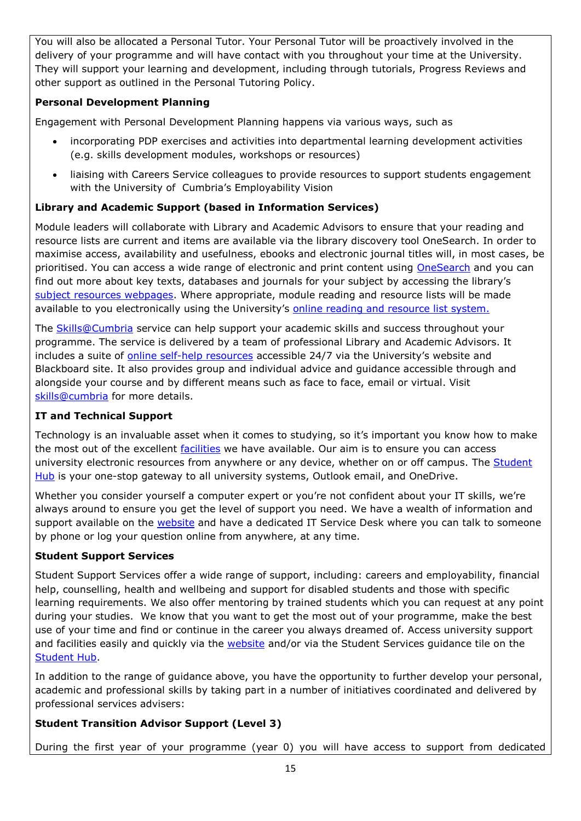You will also be allocated a Personal Tutor. Your Personal Tutor will be proactively involved in the delivery of your programme and will have contact with you throughout your time at the University. They will support your learning and development, including through tutorials, Progress Reviews and other support as outlined in the Personal Tutoring Policy.

### **Personal Development Planning**

Engagement with Personal Development Planning happens via various ways, such as

- incorporating PDP exercises and activities into departmental learning development activities (e.g. skills development modules, workshops or resources)
- liaising with Careers Service colleagues to provide resources to support students engagement with the University of Cumbria's Employability Vision

### **Library and Academic Support (based in Information Services)**

Module leaders will collaborate with Library and Academic Advisors to ensure that your reading and resource lists are current and items are available via the library discovery tool OneSearch. In order to maximise access, availability and usefulness, ebooks and electronic journal titles will, in most cases, be prioritised. You can access a wide range of electronic and print content using [OneSearch](http://cumbria-primo.hosted.exlibrisgroup.com/primo_library/libweb/action/search.do?vid=44UOC_VU1) and you can find out more about key texts, databases and journals for your subject by accessing the library's [subject resources webpages.](http://my.cumbria.ac.uk/StudentLife/Learning/Resources/Subjects/Home.aspx) Where appropriate, module reading and resource lists will be made available to you electronically using the University's [online reading and resource list system.](https://eu.alma.exlibrisgroup.com/leganto/readinglist/lists)

The [Skills@Cumbria](https://my.cumbria.ac.uk/Student-Life/Learning/Skills-Cumbria/) service can help support your academic skills and success throughout your programme. The service is delivered by a team of professional Library and Academic Advisors. It includes a suite of [online self-help resources](https://my.cumbria.ac.uk/Student-Life/Learning/Skills-Cumbria/) accessible 24/7 via the University's website and Blackboard site. It also provides group and individual advice and guidance accessible through and alongside your course and by different means such as face to face, email or virtual. Visit [skills@cumbria](https://my.cumbria.ac.uk/Student-Life/Learning/Skills-Cumbria/) for more details.

### **IT and Technical Support**

Technology is an invaluable asset when it comes to studying, so it's important you know how to make the most out of the excellent [facilities](https://www.cumbria.ac.uk/student-life/facilities/it-facilities/) we have available. Our aim is to ensure you can access university electronic resources from anywhere or any device, whether on or off campus. The **Student** [Hub](https://universityofcumbria.mydaycloud.com/dashboard/allsorts) is your one-stop gateway to all university systems, Outlook email, and OneDrive.

Whether you consider yourself a computer expert or you're not confident about your IT skills, we're always around to ensure you get the level of support you need. We have a wealth of information and support available on the [website](https://my.cumbria.ac.uk/Student-Life/it-media/) and have a dedicated IT Service Desk where you can talk to someone by phone or log your question online from anywhere, at any time.

### **Student Support Services**

Student Support Services offer a wide range of support, including: careers and employability, financial help, counselling, health and wellbeing and support for disabled students and those with specific learning requirements. We also offer mentoring by trained students which you can request at any point during your studies. We know that you want to get the most out of your programme, make the best use of your time and find or continue in the career you always dreamed of. Access university support and facilities easily and quickly via the [website](https://my.cumbria.ac.uk/) and/or via the Student Services guidance tile on the [Student Hub.](https://universityofcumbria.mydaycloud.com/dashboard/staff-home)

In addition to the range of guidance above, you have the opportunity to further develop your personal, academic and professional skills by taking part in a number of initiatives coordinated and delivered by professional services advisers:

### **Student Transition Advisor Support (Level 3)**

During the first year of your programme (year 0) you will have access to support from dedicated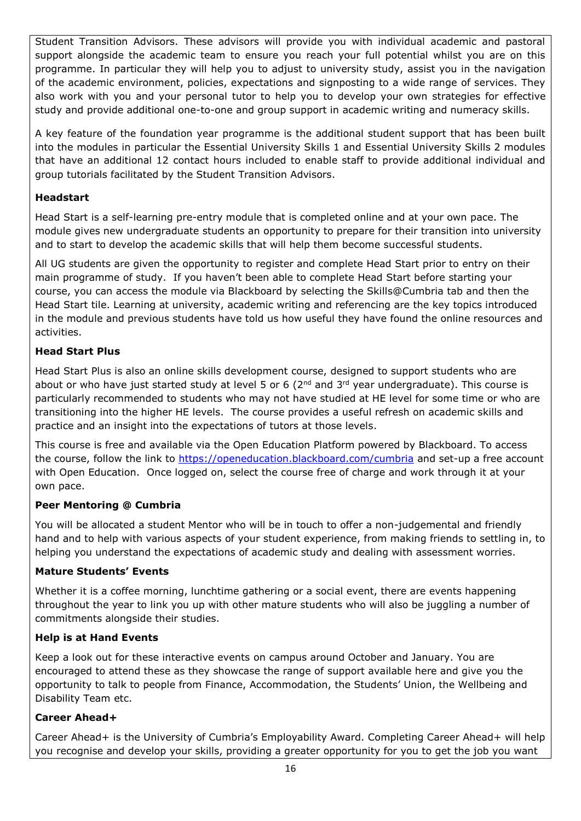Student Transition Advisors. These advisors will provide you with individual academic and pastoral support alongside the academic team to ensure you reach your full potential whilst you are on this programme. In particular they will help you to adjust to university study, assist you in the navigation of the academic environment, policies, expectations and signposting to a wide range of services. They also work with you and your personal tutor to help you to develop your own strategies for effective study and provide additional one-to-one and group support in academic writing and numeracy skills.

A key feature of the foundation year programme is the additional student support that has been built into the modules in particular the Essential University Skills 1 and Essential University Skills 2 modules that have an additional 12 contact hours included to enable staff to provide additional individual and group tutorials facilitated by the Student Transition Advisors.

### **Headstart**

Head Start is a self-learning pre-entry module that is completed online and at your own pace. The module gives new undergraduate students an opportunity to prepare for their transition into university and to start to develop the academic skills that will help them become successful students.

All UG students are given the opportunity to register and complete Head Start prior to entry on their main programme of study. If you haven't been able to complete Head Start before starting your course, you can access the module via Blackboard by selecting the Skills@Cumbria tab and then the Head Start tile. Learning at university, academic writing and referencing are the key topics introduced in the module and previous students have told us how useful they have found the online resources and activities.

### **Head Start Plus**

Head Start Plus is also an online skills development course, designed to support students who are about or who have just started study at level 5 or 6 ( $2<sup>nd</sup>$  and  $3<sup>rd</sup>$  year undergraduate). This course is particularly recommended to students who may not have studied at HE level for some time or who are transitioning into the higher HE levels. The course provides a useful refresh on academic skills and practice and an insight into the expectations of tutors at those levels.

This course is free and available via the Open Education Platform powered by Blackboard. To access the course, follow the link to<https://openeducation.blackboard.com/cumbria> and set-up a free account with Open Education. Once logged on, select the course free of charge and work through it at your own pace.

### **Peer Mentoring @ Cumbria**

You will be allocated a student Mentor who will be in touch to offer a non-judgemental and friendly hand and to help with various aspects of your student experience, from making friends to settling in, to helping you understand the expectations of academic study and dealing with assessment worries.

### **Mature Students' Events**

Whether it is a coffee morning, lunchtime gathering or a social event, there are events happening throughout the year to link you up with other mature students who will also be juggling a number of commitments alongside their studies.

### **Help is at Hand Events**

Keep a look out for these interactive events on campus around October and January. You are encouraged to attend these as they showcase the range of support available here and give you the opportunity to talk to people from Finance, Accommodation, the Students' Union, the Wellbeing and Disability Team etc.

### **Career Ahead+**

Career Ahead+ is the University of Cumbria's Employability Award. Completing Career Ahead+ will help you recognise and develop your skills, providing a greater opportunity for you to get the job you want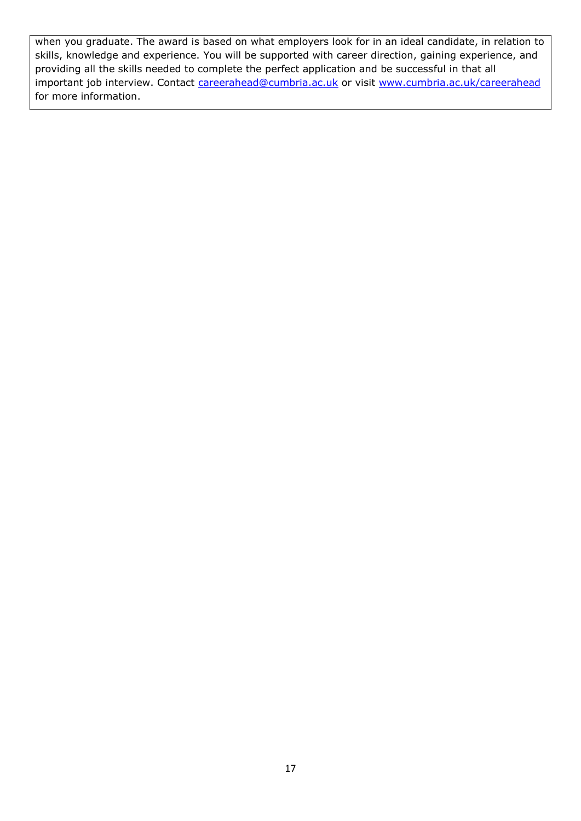when you graduate. The award is based on what employers look for in an ideal candidate, in relation to skills, knowledge and experience. You will be supported with career direction, gaining experience, and providing all the skills needed to complete the perfect application and be successful in that all important job interview. Contact [careerahead@cumbria.ac.uk](mailto:careerahead@cumbria.ac.uk) or visit [www.cumbria.ac.uk/careerahead](http://www.cumbria.ac.uk/careerahead) for more information.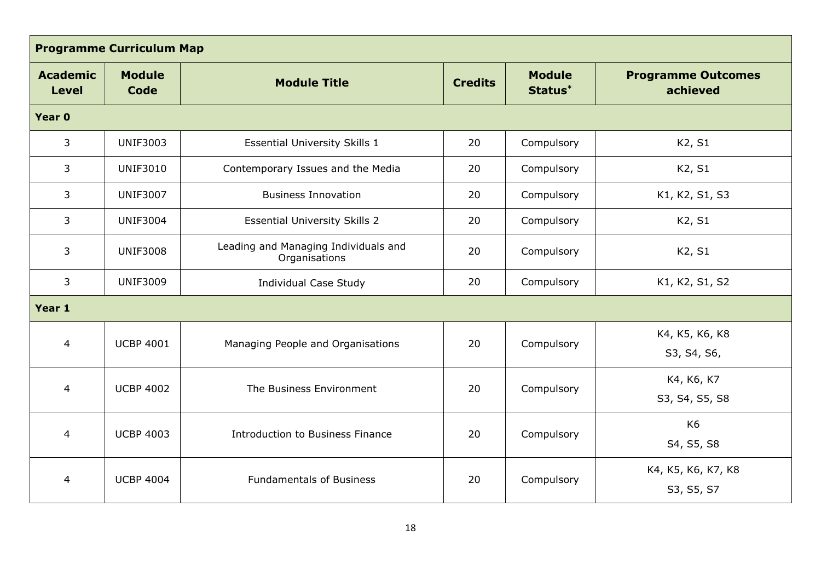| <b>Programme Curriculum Map</b> |                       |                                                       |                |                          |                                       |
|---------------------------------|-----------------------|-------------------------------------------------------|----------------|--------------------------|---------------------------------------|
| <b>Academic</b><br><b>Level</b> | <b>Module</b><br>Code | <b>Module Title</b>                                   | <b>Credits</b> | <b>Module</b><br>Status* | <b>Programme Outcomes</b><br>achieved |
| Year 0                          |                       |                                                       |                |                          |                                       |
| 3                               | <b>UNIF3003</b>       | <b>Essential University Skills 1</b>                  | 20             | Compulsory               | K2, S1                                |
| 3                               | <b>UNIF3010</b>       | Contemporary Issues and the Media                     | 20             | Compulsory               | K2, S1                                |
| 3                               | <b>UNIF3007</b>       | <b>Business Innovation</b>                            | 20             | Compulsory               | K1, K2, S1, S3                        |
| 3                               | <b>UNIF3004</b>       | <b>Essential University Skills 2</b>                  | 20             | Compulsory               | K <sub>2</sub> , S <sub>1</sub>       |
| 3                               | <b>UNIF3008</b>       | Leading and Managing Individuals and<br>Organisations | 20             | Compulsory               | K2, S1                                |
| 3                               | <b>UNIF3009</b>       | <b>Individual Case Study</b>                          | 20             | Compulsory               | K1, K2, S1, S2                        |
| Year 1                          |                       |                                                       |                |                          |                                       |
| $\overline{4}$                  | <b>UCBP 4001</b>      | Managing People and Organisations                     | 20             | Compulsory               | K4, K5, K6, K8<br>S3, S4, S6,         |
| 4                               | <b>UCBP 4002</b>      | The Business Environment                              | 20             | Compulsory               | K4, K6, K7<br>S3, S4, S5, S8          |
| 4                               | <b>UCBP 4003</b>      | Introduction to Business Finance                      | 20             | Compulsory               | K <sub>6</sub><br>S4, S5, S8          |
| 4                               | <b>UCBP 4004</b>      | <b>Fundamentals of Business</b>                       | 20             | Compulsory               | K4, K5, K6, K7, K8<br>S3, S5, S7      |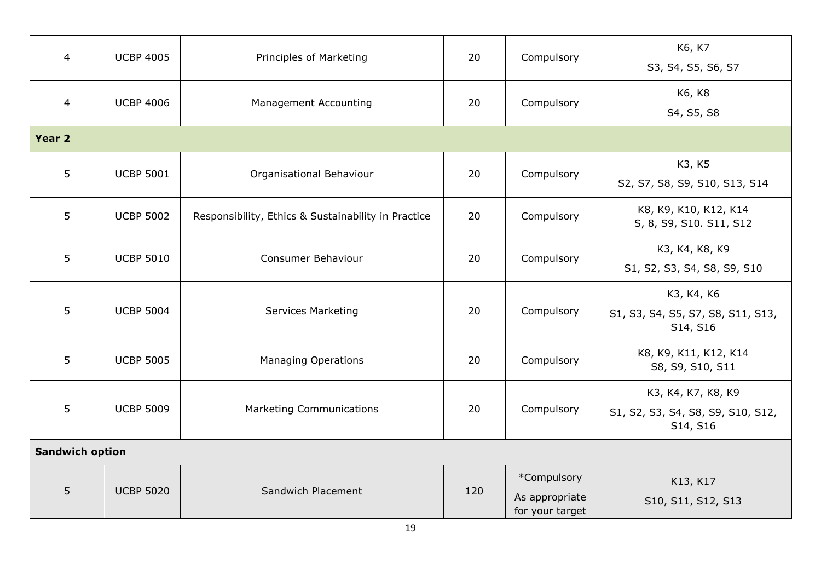| $\overline{4}$         | <b>UCBP 4005</b> | Principles of Marketing                             | 20  | Compulsory                                       | K6, K7<br>S3, S4, S5, S6, S7                                        |
|------------------------|------------------|-----------------------------------------------------|-----|--------------------------------------------------|---------------------------------------------------------------------|
| $\overline{4}$         | <b>UCBP 4006</b> | <b>Management Accounting</b>                        | 20  | Compulsory                                       | K6, K8<br>S4, S5, S8                                                |
| Year <sub>2</sub>      |                  |                                                     |     |                                                  |                                                                     |
| 5                      | <b>UCBP 5001</b> | Organisational Behaviour                            | 20  | Compulsory                                       | K3, K5<br>S2, S7, S8, S9, S10, S13, S14                             |
| 5                      | <b>UCBP 5002</b> | Responsibility, Ethics & Sustainability in Practice | 20  | Compulsory                                       | K8, K9, K10, K12, K14<br>S, 8, S9, S10. S11, S12                    |
| 5                      | <b>UCBP 5010</b> | Consumer Behaviour                                  | 20  | Compulsory                                       | K3, K4, K8, K9<br>S1, S2, S3, S4, S8, S9, S10                       |
| 5                      | <b>UCBP 5004</b> | Services Marketing                                  | 20  | Compulsory                                       | K3, K4, K6<br>S1, S3, S4, S5, S7, S8, S11, S13,<br>S14, S16         |
| 5                      | <b>UCBP 5005</b> | <b>Managing Operations</b>                          | 20  | Compulsory                                       | K8, K9, K11, K12, K14<br>S8, S9, S10, S11                           |
| 5                      | <b>UCBP 5009</b> | <b>Marketing Communications</b>                     | 20  | Compulsory                                       | K3, K4, K7, K8, K9<br>S1, S2, S3, S4, S8, S9, S10, S12,<br>S14, S16 |
| <b>Sandwich option</b> |                  |                                                     |     |                                                  |                                                                     |
| 5                      | <b>UCBP 5020</b> | Sandwich Placement                                  | 120 | *Compulsory<br>As appropriate<br>for your target | K13, K17<br>S10, S11, S12, S13                                      |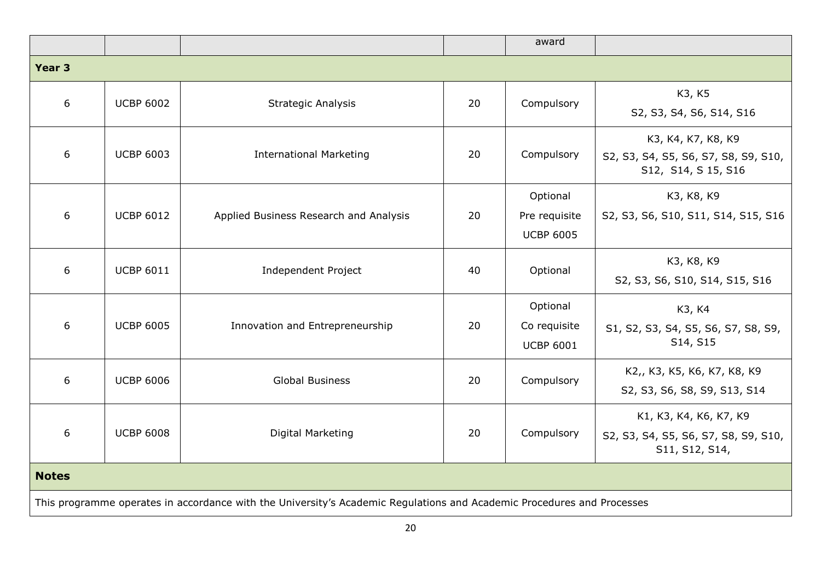|                                                                                                                        |                  |                                        |    | award                                         |                                                                                   |
|------------------------------------------------------------------------------------------------------------------------|------------------|----------------------------------------|----|-----------------------------------------------|-----------------------------------------------------------------------------------|
| Year <sub>3</sub>                                                                                                      |                  |                                        |    |                                               |                                                                                   |
| 6                                                                                                                      | <b>UCBP 6002</b> | <b>Strategic Analysis</b>              | 20 | Compulsory                                    | K3, K5<br>S2, S3, S4, S6, S14, S16                                                |
| 6                                                                                                                      | <b>UCBP 6003</b> | <b>International Marketing</b>         | 20 | Compulsory                                    | K3, K4, K7, K8, K9<br>S2, S3, S4, S5, S6, S7, S8, S9, S10,<br>S12, S14, S 15, S16 |
| 6                                                                                                                      | <b>UCBP 6012</b> | Applied Business Research and Analysis | 20 | Optional<br>Pre requisite<br><b>UCBP 6005</b> | K3, K8, K9<br>S2, S3, S6, S10, S11, S14, S15, S16                                 |
| 6                                                                                                                      | <b>UCBP 6011</b> | Independent Project                    | 40 | Optional                                      | K3, K8, K9<br>S2, S3, S6, S10, S14, S15, S16                                      |
| 6                                                                                                                      | <b>UCBP 6005</b> | Innovation and Entrepreneurship        | 20 | Optional<br>Co requisite<br><b>UCBP 6001</b>  | K3, K4<br>S1, S2, S3, S4, S5, S6, S7, S8, S9,<br>S14, S15                         |
| 6                                                                                                                      | <b>UCBP 6006</b> | <b>Global Business</b>                 | 20 | Compulsory                                    | K2,, K3, K5, K6, K7, K8, K9<br>S2, S3, S6, S8, S9, S13, S14                       |
| 6                                                                                                                      | <b>UCBP 6008</b> | Digital Marketing                      | 20 | Compulsory                                    | K1, K3, K4, K6, K7, K9<br>S2, S3, S4, S5, S6, S7, S8, S9, S10,<br>S11, S12, S14,  |
| <b>Notes</b>                                                                                                           |                  |                                        |    |                                               |                                                                                   |
| This programme operates in accordance with the University's Academic Regulations and Academic Procedures and Processes |                  |                                        |    |                                               |                                                                                   |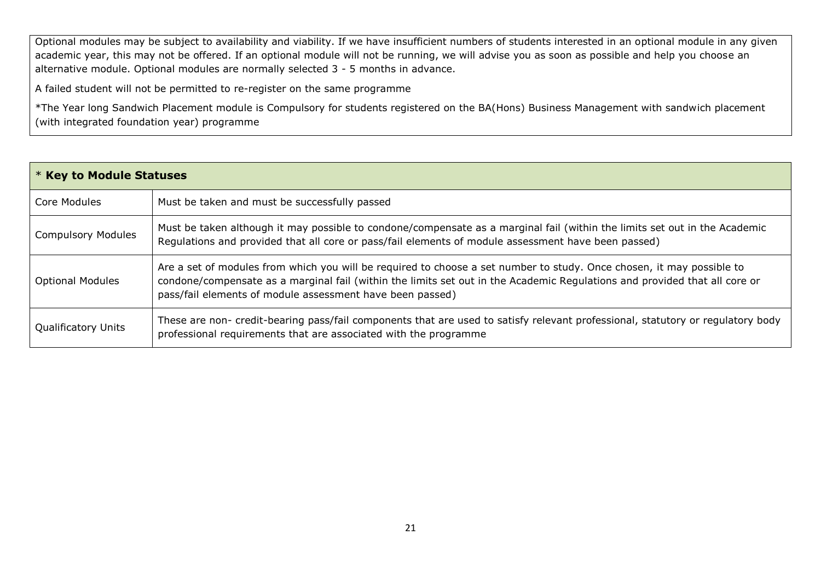Optional modules may be subject to availability and viability. If we have insufficient numbers of students interested in an optional module in any given academic year, this may not be offered. If an optional module will not be running, we will advise you as soon as possible and help you choose an alternative module. Optional modules are normally selected 3 - 5 months in advance.

A failed student will not be permitted to re-register on the same programme

\*The Year long Sandwich Placement module is Compulsory for students registered on the BA(Hons) Business Management with sandwich placement (with integrated foundation year) programme

| * Key to Module Statuses   |                                                                                                                                                                                                                                                                                                                  |  |  |
|----------------------------|------------------------------------------------------------------------------------------------------------------------------------------------------------------------------------------------------------------------------------------------------------------------------------------------------------------|--|--|
| Core Modules               | Must be taken and must be successfully passed                                                                                                                                                                                                                                                                    |  |  |
| <b>Compulsory Modules</b>  | Must be taken although it may possible to condone/compensate as a marginal fail (within the limits set out in the Academic<br>Regulations and provided that all core or pass/fail elements of module assessment have been passed)                                                                                |  |  |
| <b>Optional Modules</b>    | Are a set of modules from which you will be required to choose a set number to study. Once chosen, it may possible to<br>condone/compensate as a marginal fail (within the limits set out in the Academic Regulations and provided that all core or<br>pass/fail elements of module assessment have been passed) |  |  |
| <b>Qualificatory Units</b> | These are non- credit-bearing pass/fail components that are used to satisfy relevant professional, statutory or regulatory body<br>professional requirements that are associated with the programme                                                                                                              |  |  |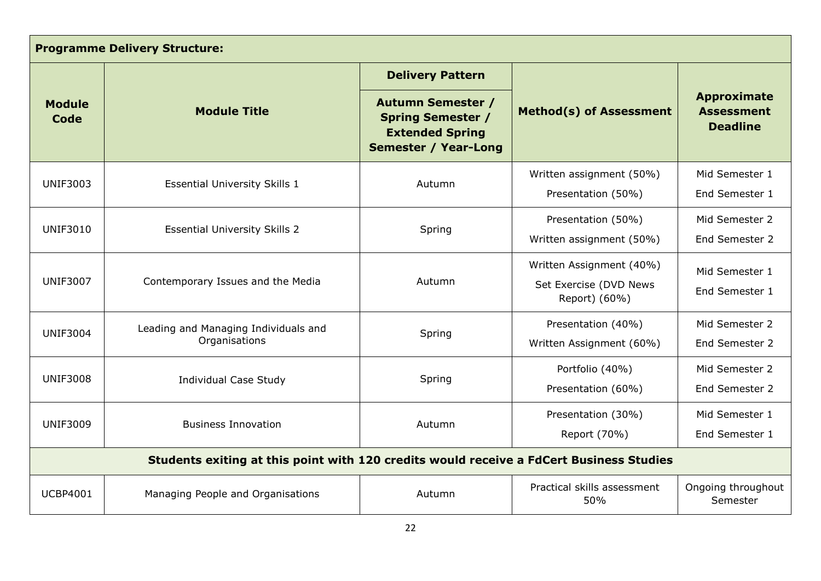| <b>Programme Delivery Structure:</b>                                                    |                                                       |                                                                                                               |                                                |                                                            |
|-----------------------------------------------------------------------------------------|-------------------------------------------------------|---------------------------------------------------------------------------------------------------------------|------------------------------------------------|------------------------------------------------------------|
|                                                                                         |                                                       | <b>Delivery Pattern</b>                                                                                       |                                                |                                                            |
| <b>Module</b><br>Code                                                                   | <b>Module Title</b>                                   | <b>Autumn Semester /</b><br><b>Spring Semester /</b><br><b>Extended Spring</b><br><b>Semester / Year-Long</b> | <b>Method(s) of Assessment</b>                 | <b>Approximate</b><br><b>Assessment</b><br><b>Deadline</b> |
| <b>UNIF3003</b>                                                                         | <b>Essential University Skills 1</b>                  | Autumn                                                                                                        | Written assignment (50%)<br>Presentation (50%) | Mid Semester 1<br>End Semester 1                           |
|                                                                                         |                                                       |                                                                                                               | Presentation (50%)                             | Mid Semester 2                                             |
| <b>UNIF3010</b>                                                                         | <b>Essential University Skills 2</b>                  | Spring                                                                                                        | Written assignment (50%)                       | End Semester 2                                             |
| <b>UNIF3007</b>                                                                         | Contemporary Issues and the Media                     | Autumn                                                                                                        | Written Assignment (40%)                       | Mid Semester 1                                             |
|                                                                                         |                                                       |                                                                                                               | Set Exercise (DVD News<br>Report) (60%)        | End Semester 1                                             |
| <b>UNIF3004</b>                                                                         | Leading and Managing Individuals and<br>Organisations | Spring                                                                                                        | Presentation (40%)                             | Mid Semester 2                                             |
|                                                                                         |                                                       |                                                                                                               | Written Assignment (60%)                       | End Semester 2                                             |
| <b>UNIF3008</b>                                                                         | <b>Individual Case Study</b>                          | Spring                                                                                                        | Portfolio (40%)                                | Mid Semester 2                                             |
|                                                                                         |                                                       |                                                                                                               | Presentation (60%)                             | End Semester 2                                             |
| <b>UNIF3009</b>                                                                         | <b>Business Innovation</b>                            | Autumn                                                                                                        | Presentation (30%)                             | Mid Semester 1                                             |
|                                                                                         |                                                       |                                                                                                               | Report (70%)                                   | End Semester 1                                             |
| Students exiting at this point with 120 credits would receive a FdCert Business Studies |                                                       |                                                                                                               |                                                |                                                            |
| <b>UCBP4001</b>                                                                         | Managing People and Organisations                     | Autumn                                                                                                        | Practical skills assessment<br>50%             | Ongoing throughout<br>Semester                             |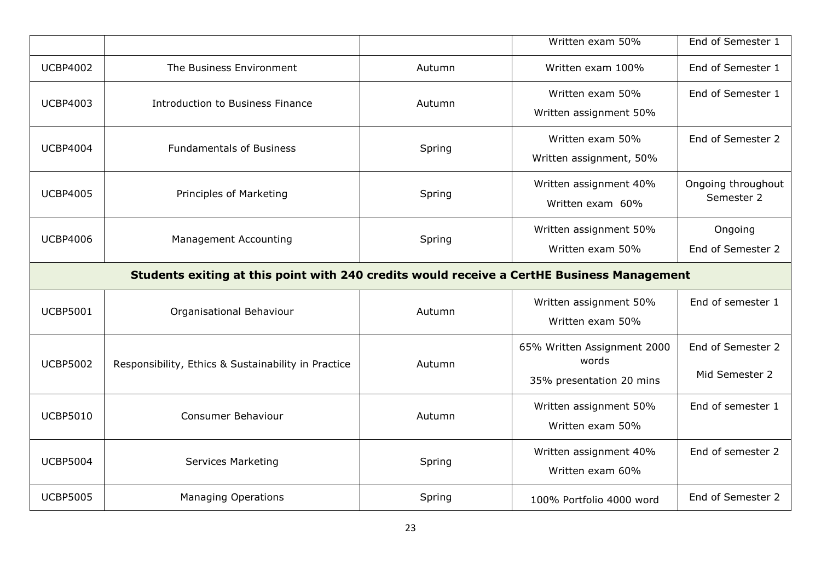|                 |                                                                                            |        | Written exam 50%                                                 | End of Semester 1                   |  |
|-----------------|--------------------------------------------------------------------------------------------|--------|------------------------------------------------------------------|-------------------------------------|--|
| <b>UCBP4002</b> | The Business Environment                                                                   | Autumn | Written exam 100%                                                | End of Semester 1                   |  |
| <b>UCBP4003</b> | <b>Introduction to Business Finance</b>                                                    | Autumn | Written exam 50%<br>Written assignment 50%                       | End of Semester 1                   |  |
| <b>UCBP4004</b> | <b>Fundamentals of Business</b>                                                            | Spring | Written exam 50%<br>Written assignment, 50%                      | End of Semester 2                   |  |
| <b>UCBP4005</b> | Principles of Marketing                                                                    | Spring | Written assignment 40%<br>Written exam 60%                       | Ongoing throughout<br>Semester 2    |  |
| <b>UCBP4006</b> | <b>Management Accounting</b>                                                               | Spring | Written assignment 50%<br>Written exam 50%                       | Ongoing<br>End of Semester 2        |  |
|                 | Students exiting at this point with 240 credits would receive a CertHE Business Management |        |                                                                  |                                     |  |
| <b>UCBP5001</b> | Organisational Behaviour                                                                   | Autumn | Written assignment 50%<br>Written exam 50%                       | End of semester 1                   |  |
| <b>UCBP5002</b> | Responsibility, Ethics & Sustainability in Practice                                        | Autumn | 65% Written Assignment 2000<br>words<br>35% presentation 20 mins | End of Semester 2<br>Mid Semester 2 |  |
| <b>UCBP5010</b> | <b>Consumer Behaviour</b>                                                                  | Autumn | Written assignment 50%<br>Written exam 50%                       | End of semester 1                   |  |
| <b>UCBP5004</b> | Services Marketing                                                                         | Spring | Written assignment 40%<br>Written exam 60%                       | End of semester 2                   |  |
| <b>UCBP5005</b> | <b>Managing Operations</b>                                                                 | Spring | 100% Portfolio 4000 word                                         | End of Semester 2                   |  |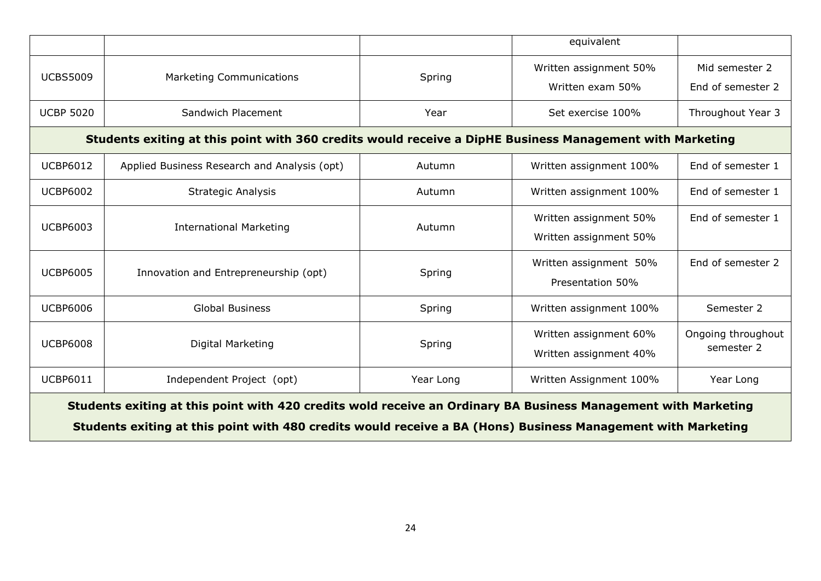|                                                                                                                                                                                                                                |                                                                                                          |           | equivalent                                       |                                     |
|--------------------------------------------------------------------------------------------------------------------------------------------------------------------------------------------------------------------------------|----------------------------------------------------------------------------------------------------------|-----------|--------------------------------------------------|-------------------------------------|
| <b>UCBS5009</b>                                                                                                                                                                                                                | <b>Marketing Communications</b>                                                                          | Spring    | Written assignment 50%<br>Written exam 50%       | Mid semester 2<br>End of semester 2 |
| <b>UCBP 5020</b>                                                                                                                                                                                                               | Sandwich Placement                                                                                       | Year      | Set exercise 100%                                | Throughout Year 3                   |
|                                                                                                                                                                                                                                | Students exiting at this point with 360 credits would receive a DipHE Business Management with Marketing |           |                                                  |                                     |
| <b>UCBP6012</b>                                                                                                                                                                                                                | Applied Business Research and Analysis (opt)                                                             | Autumn    | Written assignment 100%                          | End of semester 1                   |
| <b>UCBP6002</b>                                                                                                                                                                                                                | <b>Strategic Analysis</b>                                                                                | Autumn    | Written assignment 100%                          | End of semester 1                   |
| <b>UCBP6003</b>                                                                                                                                                                                                                | <b>International Marketing</b>                                                                           | Autumn    | Written assignment 50%<br>Written assignment 50% | End of semester 1                   |
| <b>UCBP6005</b>                                                                                                                                                                                                                | Innovation and Entrepreneurship (opt)                                                                    | Spring    | Written assignment 50%<br>Presentation 50%       | End of semester 2                   |
| <b>UCBP6006</b>                                                                                                                                                                                                                | <b>Global Business</b>                                                                                   | Spring    | Written assignment 100%                          | Semester 2                          |
| <b>UCBP6008</b>                                                                                                                                                                                                                | <b>Digital Marketing</b>                                                                                 | Spring    | Written assignment 60%<br>Written assignment 40% | Ongoing throughout<br>semester 2    |
| <b>UCBP6011</b>                                                                                                                                                                                                                | Independent Project (opt)                                                                                | Year Long | Written Assignment 100%                          | Year Long                           |
| Students exiting at this point with 420 credits wold receive an Ordinary BA Business Management with Marketing<br>Students exiting at this point with 480 credits would receive a BA (Hons) Business Management with Marketing |                                                                                                          |           |                                                  |                                     |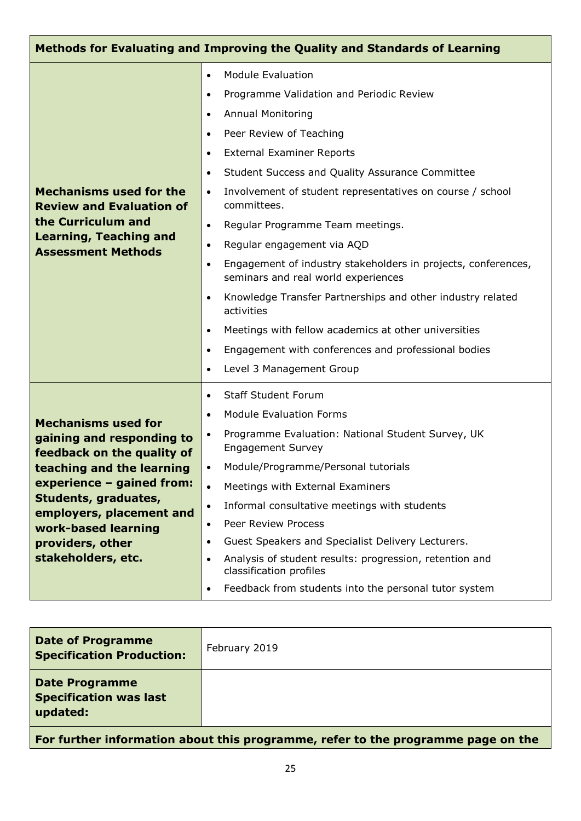| Methods for Evaluating and Improving the Quality and Standards of Learning                                                                                                                                                                                           |                                                                                                                                                                                                                                                                                                                                                                                                                                                                                                                                                                                                                                                                                                                                                                                                                                                                                       |  |  |
|----------------------------------------------------------------------------------------------------------------------------------------------------------------------------------------------------------------------------------------------------------------------|---------------------------------------------------------------------------------------------------------------------------------------------------------------------------------------------------------------------------------------------------------------------------------------------------------------------------------------------------------------------------------------------------------------------------------------------------------------------------------------------------------------------------------------------------------------------------------------------------------------------------------------------------------------------------------------------------------------------------------------------------------------------------------------------------------------------------------------------------------------------------------------|--|--|
| <b>Mechanisms used for the</b><br><b>Review and Evaluation of</b><br>the Curriculum and<br><b>Learning, Teaching and</b><br><b>Assessment Methods</b>                                                                                                                | <b>Module Evaluation</b><br>$\bullet$<br>Programme Validation and Periodic Review<br>$\bullet$<br><b>Annual Monitoring</b><br>$\bullet$<br>Peer Review of Teaching<br>$\bullet$<br><b>External Examiner Reports</b><br>$\bullet$<br>Student Success and Quality Assurance Committee<br>$\bullet$<br>Involvement of student representatives on course / school<br>$\bullet$<br>committees.<br>Regular Programme Team meetings.<br>$\bullet$<br>Regular engagement via AQD<br>$\bullet$<br>Engagement of industry stakeholders in projects, conferences,<br>$\bullet$<br>seminars and real world experiences<br>Knowledge Transfer Partnerships and other industry related<br>$\bullet$<br>activities<br>Meetings with fellow academics at other universities<br>$\bullet$<br>Engagement with conferences and professional bodies<br>$\bullet$<br>Level 3 Management Group<br>$\bullet$ |  |  |
| <b>Mechanisms used for</b><br>gaining and responding to<br>feedback on the quality of<br>teaching and the learning<br>experience - gained from:<br>Students, graduates,<br>employers, placement and<br>work-based learning<br>providers, other<br>stakeholders, etc. | <b>Staff Student Forum</b><br>$\bullet$<br><b>Module Evaluation Forms</b><br>$\bullet$<br>Programme Evaluation: National Student Survey, UK<br>$\bullet$<br><b>Engagement Survey</b><br>Module/Programme/Personal tutorials<br>Meetings with External Examiners<br>$\bullet$<br>Informal consultative meetings with students<br>$\bullet$<br>Peer Review Process<br>$\bullet$<br>Guest Speakers and Specialist Delivery Lecturers.<br>$\bullet$<br>Analysis of student results: progression, retention and<br>$\bullet$<br>classification profiles<br>Feedback from students into the personal tutor system<br>$\bullet$                                                                                                                                                                                                                                                              |  |  |

| <b>Date of Programme</b><br><b>Specification Production:</b>                    | February 2019 |  |
|---------------------------------------------------------------------------------|---------------|--|
| <b>Date Programme</b><br><b>Specification was last</b><br>updated:              |               |  |
| For further information about this programme refer to the programme page on the |               |  |

**For further information about this programme, refer to the programme page on the**